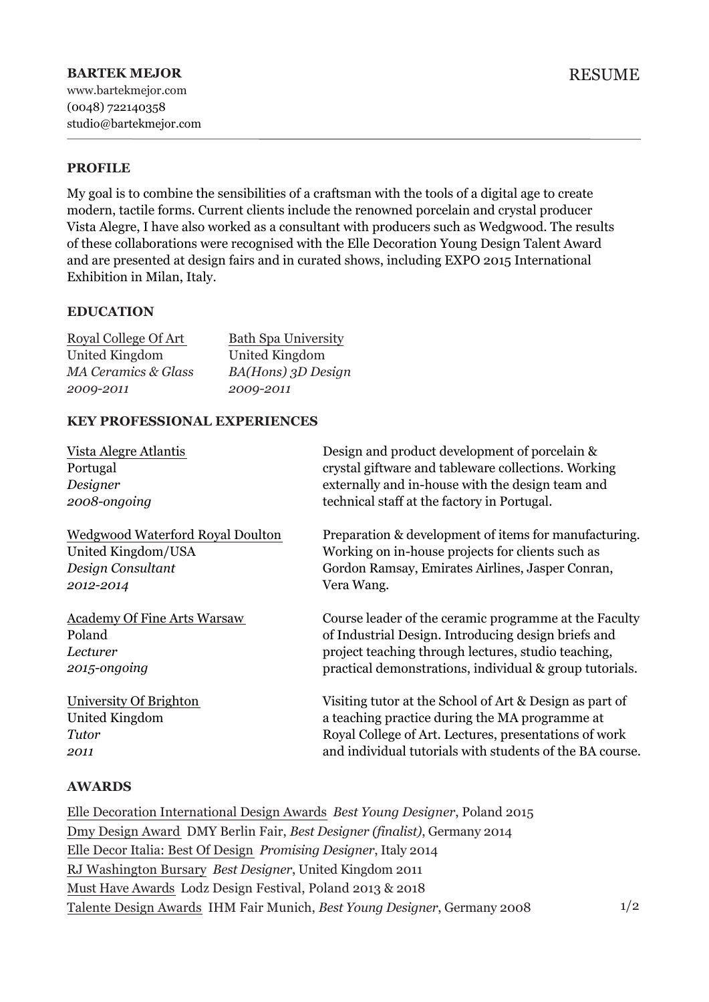# **PROFILE**

My goal is to combine the sensibilities of a craftsman with the tools of a digital age to create modern, tactile forms. Current clients include the renowned porcelain and crystal producer Vista Alegre, I have also worked as a consultant with producers such as Wedgwood. The results of these collaborations were recognised with the Elle Decoration Young Design Talent Award and are presented at design fairs and in curated shows, including EXPO 2015 International Exhibition in Milan, Italy.

### **EDUCATION**

| Royal College Of Art           | <b>Bath Spa University</b> |
|--------------------------------|----------------------------|
| United Kingdom                 | United Kingdom             |
| <b>MA Ceramics &amp; Glass</b> | BA(Hons) 3D Design         |
| 2009-2011                      | 2009-2011                  |

### **KEY PROFESSIONAL EXPERIENCES**

| Vista Alegre Atlantis              | Design and product development of porcelain &            |
|------------------------------------|----------------------------------------------------------|
| Portugal                           | crystal giftware and tableware collections. Working      |
| Designer                           | externally and in-house with the design team and         |
| 2008-ongoing                       | technical staff at the factory in Portugal.              |
| Wedgwood Waterford Royal Doulton   | Preparation & development of items for manufacturing.    |
| United Kingdom/USA                 | Working on in-house projects for clients such as         |
| Design Consultant                  | Gordon Ramsay, Emirates Airlines, Jasper Conran,         |
| 2012-2014                          | Vera Wang.                                               |
| <b>Academy Of Fine Arts Warsaw</b> | Course leader of the ceramic programme at the Faculty    |
| Poland                             | of Industrial Design. Introducing design briefs and      |
| Lecturer                           | project teaching through lectures, studio teaching,      |
| 2015-ongoing                       | practical demonstrations, individual & group tutorials.  |
| University Of Brighton             | Visiting tutor at the School of Art & Design as part of  |
| United Kingdom                     | a teaching practice during the MA programme at           |
| Tutor                              | Royal College of Art. Lectures, presentations of work    |
| 2011                               | and individual tutorials with students of the BA course. |

## **AWARDS**

Elle Decoration International Design Awards *Best Young Designer*, Poland 2015 Dmy Design Award DMY Berlin Fair, *Best Designer (finalist)*, Germany 2014 Elle Decor Italia: Best Of Design *Promising Designer*, Italy 2014 RJ Washington Bursary *Best Designer*, United Kingdom 2011 Must Have Awards Lodz Design Festival, Poland 2013 & 2018 Talente Design Awards IHM Fair Munich, *Best Young Designer*, Germany 2008